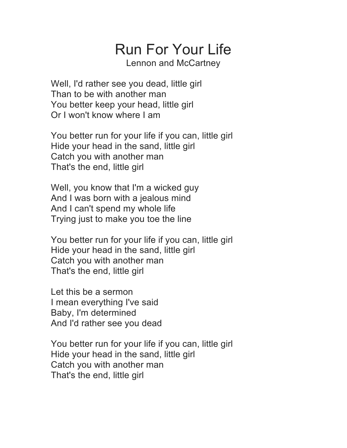## Run For Your Life

Lennon and McCartney

Well, I'd rather see you dead, little girl Than to be with another man You better keep your head, little girl Or I won't know where I am

You better run for your life if you can, little girl Hide your head in the sand, little girl Catch you with another man That's the end, little girl

Well, you know that I'm a wicked guy And I was born with a jealous mind And I can't spend my whole life Trying just to make you toe the line

You better run for your life if you can, little girl Hide your head in the sand, little girl Catch you with another man That's the end, little girl

Let this be a sermon I mean everything I've said Baby, I'm determined And I'd rather see you dead

You better run for your life if you can, little girl Hide your head in the sand, little girl Catch you with another man That's the end, little girl